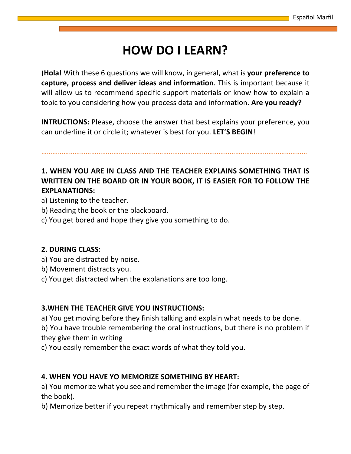## **HOW DO I LEARN?**

**¡Hola!** With these 6 questions we will know, in general, what is **your preference to capture, process and deliver ideas and information**. This is important because it will allow us to recommend specific support materials or know how to explain a topic to you considering how you process data and information. **Are you ready?**

**INTRUCTIONS:** Please, choose the answer that best explains your preference, you can underline it or circle it; whatever is best for you. **LET'S BEGIN**!

………………………………………………………………………………………………………………………………

### **1. WHEN YOU ARE IN CLASS AND THE TEACHER EXPLAINS SOMETHING THAT IS WRITTEN ON THE BOARD OR IN YOUR BOOK, IT IS EASIER FOR TO FOLLOW THE EXPLANATIONS:**

a) Listening to the teacher.

- b) Reading the book or the blackboard.
- c) You get bored and hope they give you something to do.

#### **2. DURING CLASS:**

- a) You are distracted by noise.
- b) Movement distracts you.
- c) You get distracted when the explanations are too long.

#### **3.WHEN THE TEACHER GIVE YOU INSTRUCTIONS:**

a) You get moving before they finish talking and explain what needs to be done.

b) You have trouble remembering the oral instructions, but there is no problem if they give them in writing

c) You easily remember the exact words of what they told you.

#### **4. WHEN YOU HAVE YO MEMORIZE SOMETHING BY HEART:**

a) You memorize what you see and remember the image (for example, the page of the book).

b) Memorize better if you repeat rhythmically and remember step by step.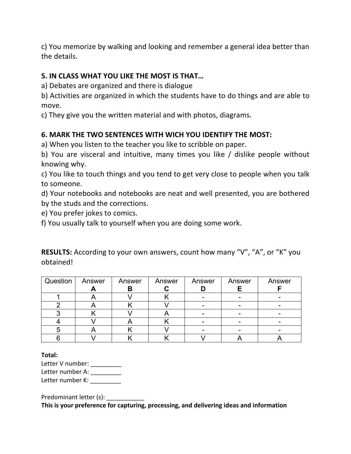c) You memorize by walking and looking and remember a general idea better than the details.

#### **5. IN CLASS WHAT YOU LIKE THE MOST IS THAT…**

a) Debates are organized and there is dialogue

b) Activities are organized in which the students have to do things and are able to move.

c) They give you the written material and with photos, diagrams.

#### **6. MARK THE TWO SENTENCES WITH WICH YOU IDENTIFY THE MOST:**

a) When you listen to the teacher you like to scribble on paper.

b) You are visceral and intuitive, many times you like / dislike people without knowing why.

c) You like to touch things and you tend to get very close to people when you talk to someone.

d) Your notebooks and notebooks are neat and well presented, you are bothered by the studs and the corrections.

e) You prefer jokes to comics.

f) You usually talk to yourself when you are doing some work.

Question | Answer **A** Answer **B** Answer **C** Answer **D** Answer **E** Answer **F** 1 | A | V | K | - | - | -2 | A | K | V | - | - | -3 | K | V | A | - | - | -4 | V | A | K | - | - | -5 | A | K | V | - | - | -6 | V | K | K | V | A | A

**RESULTS:** According to your own answers, count how many "V", "A", or "K" you obtained!

**Total:**

Letter V number: \_\_\_\_\_\_\_\_\_\_ Letter number A: \_\_\_\_\_\_\_\_\_ Letter number K: \_\_\_\_\_\_\_\_\_

Predominant letter (s):

**This is your preference for capturing, processing, and delivering ideas and information**